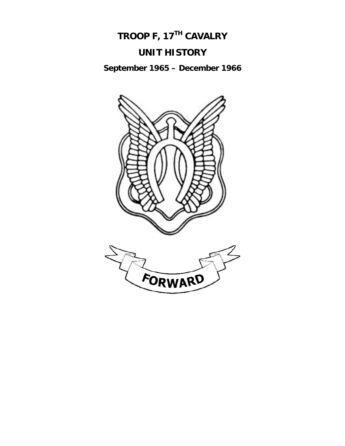

**September 1965 – December 1966** 

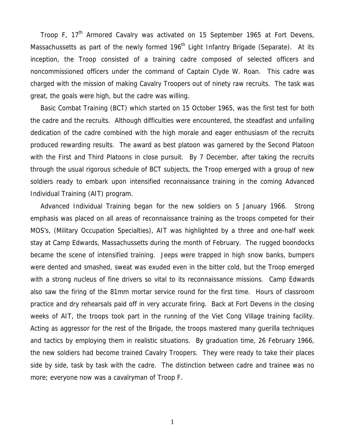Troop F, 17<sup>th</sup> Armored Cavalry was activated on 15 September 1965 at Fort Devens, Massachussetts as part of the newly formed 196<sup>th</sup> Light Infantry Brigade (Separate). At its inception, the Troop consisted of a training cadre composed of selected officers and noncommissioned officers under the command of Captain Clyde W. Roan. This cadre was charged with the mission of making Cavalry Troopers out of ninety raw recruits. The task was great, the goals were high, but the cadre was willing.

 Basic Combat Training (BCT) which started on 15 October 1965, was the first test for both the cadre and the recruits. Although difficulties were encountered, the steadfast and unfailing dedication of the cadre combined with the high morale and eager enthusiasm of the recruits produced rewarding results. The award as best platoon was garnered by the Second Platoon with the First and Third Platoons in close pursuit. By 7 December, after taking the recruits through the usual rigorous schedule of BCT subjects, the Troop emerged with a group of new soldiers ready to embark upon intensified reconnaissance training in the coming Advanced Individual Training (AIT) program.

 Advanced Individual Training began for the new soldiers on 5 January 1966. Strong emphasis was placed on all areas of reconnaissance training as the troops competed for their MOS's, (Military Occupation Specialties), AIT was highlighted by a three and one-half week stay at Camp Edwards, Massachussetts during the month of February. The rugged boondocks became the scene of intensified training. Jeeps were trapped in high snow banks, bumpers were dented and smashed, sweat was exuded even in the bitter cold, but the Troop emerged with a strong nucleus of fine drivers so vital to its reconnaissance missions. Camp Edwards also saw the firing of the 81mm mortar service round for the first time. Hours of classroom practice and dry rehearsals paid off in very accurate firing. Back at Fort Devens in the closing weeks of AIT, the troops took part in the running of the Viet Cong Village training facility. Acting as aggressor for the rest of the Brigade, the troops mastered many guerilla techniques and tactics by employing them in realistic situations. By graduation time, 26 February 1966, the new soldiers had become trained Cavalry Troopers. They were ready to take their places side by side, task by task with the cadre. The distinction between cadre and trainee was no more; everyone now was a cavalryman of Troop F.

1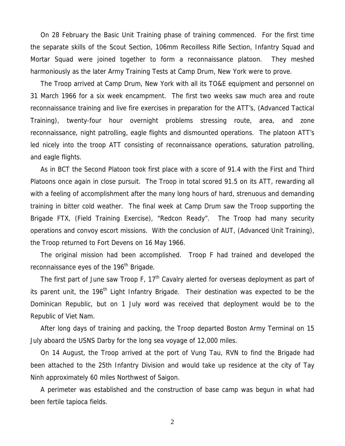On 28 February the Basic Unit Training phase of training commenced. For the first time the separate skills of the Scout Section, 106mm Recoilless Rifle Section, Infantry Squad and Mortar Squad were joined together to form a reconnaissance platoon. They meshed harmoniously as the later Army Training Tests at Camp Drum, New York were to prove.

 The Troop arrived at Camp Drum, New York with all its TO&E equipment and personnel on 31 March 1966 for a six week encampment. The first two weeks saw much area and route reconnaissance training and live fire exercises in preparation for the ATT's, (Advanced Tactical Training), twenty-four hour overnight problems stressing route, area, and zone reconnaissance, night patrolling, eagle flights and dismounted operations. The platoon ATT's led nicely into the troop ATT consisting of reconnaissance operations, saturation patrolling, and eagle flights.

 As in BCT the Second Platoon took first place with a score of 91.4 with the First and Third Platoons once again in close pursuit. The Troop in total scored 91.5 on its ATT, rewarding all with a feeling of accomplishment after the many long hours of hard, strenuous and demanding training in bitter cold weather. The final week at Camp Drum saw the Troop supporting the Brigade FTX, (Field Training Exercise), "Redcon Ready". The Troop had many security operations and convoy escort missions. With the conclusion of AUT, (Advanced Unit Training), the Troop returned to Fort Devens on 16 May 1966.

 The original mission had been accomplished. Troop F had trained and developed the reconnaissance eyes of the 196<sup>th</sup> Brigade.

The first part of June saw Troop F,  $17<sup>th</sup>$  Cavalry alerted for overseas deployment as part of its parent unit, the 196<sup>th</sup> Light Infantry Brigade. Their destination was expected to be the Dominican Republic, but on 1 July word was received that deployment would be to the Republic of Viet Nam.

 After long days of training and packing, the Troop departed Boston Army Terminal on 15 July aboard the USNS Darby for the long sea voyage of 12,000 miles.

 On 14 August, the Troop arrived at the port of Vung Tau, RVN to find the Brigade had been attached to the 25th Infantry Division and would take up residence at the city of Tay Ninh approximately 60 miles Northwest of Saigon.

 A perimeter was established and the construction of base camp was begun in what had been fertile tapioca fields.

2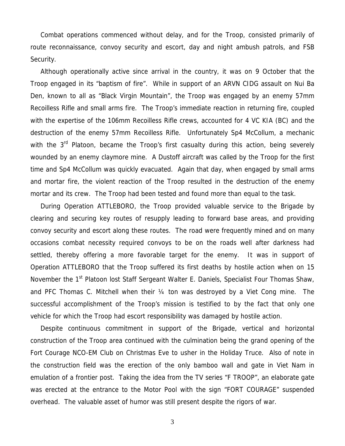Combat operations commenced without delay, and for the Troop, consisted primarily of route reconnaissance, convoy security and escort, day and night ambush patrols, and FSB Security.

 Although operationally active since arrival in the country, it was on 9 October that the Troop engaged in its "baptism of fire". While in support of an ARVN CIDG assault on Nui Ba Den, known to all as "Black Virgin Mountain", the Troop was engaged by an enemy 57mm Recoilless Rifle and small arms fire. The Troop's immediate reaction in returning fire, coupled with the expertise of the 106mm Recoilless Rifle crews, accounted for 4 VC KIA (BC) and the destruction of the enemy 57mm Recoilless Rifle. Unfortunately Sp4 McCollum, a mechanic with the 3<sup>rd</sup> Platoon, became the Troop's first casualty during this action, being severely wounded by an enemy claymore mine. A Dustoff aircraft was called by the Troop for the first time and Sp4 McCollum was quickly evacuated. Again that day, when engaged by small arms and mortar fire, the violent reaction of the Troop resulted in the destruction of the enemy mortar and its crew. The Troop had been tested and found more than equal to the task.

 During Operation ATTLEBORO, the Troop provided valuable service to the Brigade by clearing and securing key routes of resupply leading to forward base areas, and providing convoy security and escort along these routes. The road were frequently mined and on many occasions combat necessity required convoys to be on the roads well after darkness had settled, thereby offering a more favorable target for the enemy. It was in support of Operation ATTLEBORO that the Troop suffered its first deaths by hostile action when on 15 November the 1<sup>st</sup> Platoon lost Staff Sergeant Walter E. Daniels, Specialist Four Thomas Shaw, and PFC Thomas C. Mitchell when their ¼ ton was destroyed by a Viet Cong mine. The successful accomplishment of the Troop's mission is testified to by the fact that only one vehicle for which the Troop had escort responsibility was damaged by hostile action.

 Despite continuous commitment in support of the Brigade, vertical and horizontal construction of the Troop area continued with the culmination being the grand opening of the Fort Courage NCO-EM Club on Christmas Eve to usher in the Holiday Truce. Also of note in the construction field was the erection of the only bamboo wall and gate in Viet Nam in emulation of a frontier post. Taking the idea from the TV series "F TROOP", an elaborate gate was erected at the entrance to the Motor Pool with the sign "FORT COURAGE" suspended overhead. The valuable asset of humor was still present despite the rigors of war.

3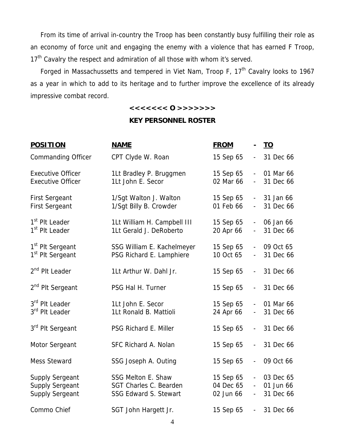From its time of arrival in-country the Troop has been constantly busy fulfilling their role as an economy of force unit and engaging the enemy with a violence that has earned F Troop, 17<sup>th</sup> Cavalry the respect and admiration of all those with whom it's served.

Forged in Massachussetts and tempered in Viet Nam, Troop F,  $17<sup>th</sup>$  Cavalry looks to 1967 as a year in which to add to its heritage and to further improve the excellence of its already impressive combat record.

# **<<<<<<< O >>>>>>>**

# **KEY PERSONNEL ROSTER**

| <b>POSITION</b>                                                            | <b>NAME</b>                                                                         | <b>FROM</b>                         | $\blacksquare$                             | <u>TO</u>                           |
|----------------------------------------------------------------------------|-------------------------------------------------------------------------------------|-------------------------------------|--------------------------------------------|-------------------------------------|
| <b>Commanding Officer</b>                                                  | CPT Clyde W. Roan                                                                   | 15 Sep 65                           | $\blacksquare$                             | 31 Dec 66                           |
| <b>Executive Officer</b><br><b>Executive Officer</b>                       | 1Lt Bradley P. Bruggmen<br>1Lt John E. Secor                                        | 15 Sep 65<br>02 Mar 66              | $\overline{\phantom{a}}$<br>$\blacksquare$ | 01 Mar 66<br>31 Dec 66              |
| <b>First Sergeant</b><br><b>First Sergeant</b>                             | 1/Sgt Walton J. Walton<br>1/Sgt Billy B. Crowder                                    | 15 Sep 65<br>01 Feb 66              | $\overline{\phantom{0}}$                   | 31 Jan 66<br>31 Dec 66              |
| 1 <sup>st</sup> Plt Leader<br>1 <sup>st</sup> Plt Leader                   | 1Lt William H. Campbell III<br>1Lt Gerald J. DeRoberto                              | 15 Sep 65<br>20 Apr 66              | $\blacksquare$<br>$\blacksquare$           | 06 Jan 66<br>31 Dec 66              |
| 1 <sup>st</sup> Plt Sergeant<br>1 <sup>st</sup> Plt Sergeant               | SSG William E. Kachelmeyer<br>PSG Richard E. Lamphiere                              | 15 Sep 65<br>10 Oct 65              | $\blacksquare$<br>$\blacksquare$           | 09 Oct 65<br>31 Dec 66              |
| 2 <sup>nd</sup> Plt Leader                                                 | 1Lt Arthur W. Dahl Jr.                                                              | 15 Sep 65                           |                                            | 31 Dec 66                           |
| 2 <sup>nd</sup> Plt Sergeant                                               | PSG Hal H. Turner                                                                   | 15 Sep 65                           | $\sim$                                     | 31 Dec 66                           |
| 3rd Plt Leader<br>3 <sup>rd</sup> Plt Leader                               | 1Lt John E. Secor<br>1Lt Ronald B. Mattioli                                         | 15 Sep 65<br>24 Apr 66              | $\blacksquare$<br>$\blacksquare$           | 01 Mar 66<br>31 Dec 66              |
| 3rd Plt Sergeant                                                           | PSG Richard E. Miller                                                               | 15 Sep 65                           | $\sim$                                     | 31 Dec 66                           |
| Motor Sergeant                                                             | SFC Richard A. Nolan                                                                | 15 Sep 65                           | $\overline{\phantom{a}}$                   | 31 Dec 66                           |
| <b>Mess Steward</b>                                                        | SSG Joseph A. Outing                                                                | 15 Sep 65                           | $\blacksquare$                             | 09 Oct 66                           |
| <b>Supply Sergeant</b><br><b>Supply Sergeant</b><br><b>Supply Sergeant</b> | <b>SSG Melton E. Shaw</b><br>SGT Charles C. Bearden<br><b>SSG Edward S. Stewart</b> | 15 Sep 65<br>04 Dec 65<br>02 Jun 66 | $\overline{\phantom{a}}$                   | 03 Dec 65<br>01 Jun 66<br>31 Dec 66 |
| Commo Chief                                                                | SGT John Hargett Jr.                                                                | 15 Sep 65                           | $\blacksquare$                             | 31 Dec 66                           |